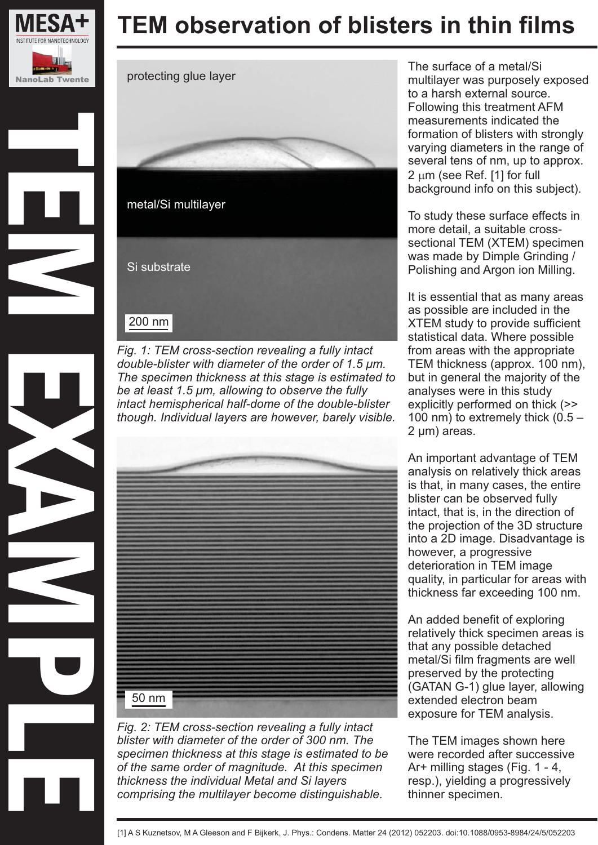

TEM EXAMPLES





*Fig. 1: TEM cross-section revealing a fully intact double-blister with diameter of the order of 1.5 μm. The specimen thickness at this stage is estimated to be at least 1.5 μm, allowing to observe the fully intact hemispherical half-dome of the double-blister though. Individual layers are however, barely visible.*



*Fig. 2: TEM cross-section revealing a fully intact blister with diameter of the order of 300 nm. The specimen thickness at this stage is estimated to be of the same order of magnitude. At this specimen thickness the individual Metal and Si layers comprising the multilayer become distinguishable.*

The surface of a metal/Si multilayer was purposely exposed to a harsh external source. Following this treatment AFM measurements indicated the formation of blisters with strongly varying diameters in the range of several tens of nm, up to approx.  $2 \mu m$  (see Ref. [1] for full background info on this subject).

To study these surface effects in more detail, a suitable crosssectional TEM (XTEM) specimen was made by Dimple Grinding / Polishing and Argon ion Milling.

It is essential that as many areas as possible are included in the XTEM study to provide sufficient statistical data. Where possible from areas with the appropriate TEM thickness (approx. 100 nm), but in general the majority of the analyses were in this study explicitly performed on thick (>> 100 nm) to extremely thick  $(0.5 -$ 2 µm) areas.

An important advantage of TEM analysis on relatively thick areas is that, in many cases, the entire blister can be observed fully intact, that is, in the direction of the projection of the 3D structure into a 2D image. Disadvantage is however, a progressive deterioration in TEM image quality, in particular for areas with thickness far exceeding 100 nm.

An added benefit of exploring relatively thick specimen areas is that any possible detached metal/Si film fragments are well preserved by the protecting (GATAN G-1) glue layer, allowing extended electron beam exposure for TEM analysis.

The TEM images shown here were recorded after successive Ar+ milling stages (Fig. 1 - 4, resp.), yielding a progressively thinner specimen.